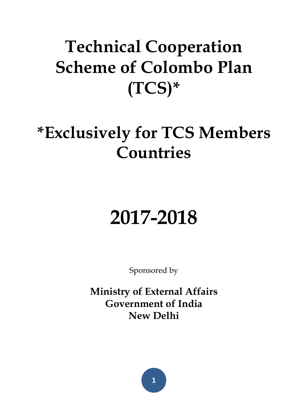# **Technical Cooperation Scheme of Colombo Plan (TCS)\***

# **\*Exclusively for TCS Members Countries**

# **2017-2018**

Sponsored by

**Ministry of External Affairs Government of India New Delhi**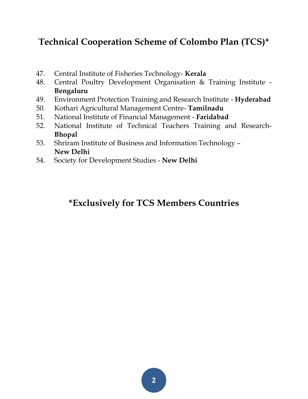## **Technical Cooperation Scheme of Colombo Plan (TCS)\***

- 47. Central Institute of Fisheries Technology- **Kerala**
- 48. Central Poultry Development Organisation & Training Institute **Bengaluru**
- 49. Environment Protection Training and Research Institute **Hyderabad**
- 50. Kothari Agricultural Management Centre- **Tamilnadu**
- 51. National Institute of Financial Management **Faridabad**
- 52. National Institute of Technical Teachers Training and Research-**Bhopal**
- 53. Shriram Institute of Business and Information Technology **New Delhi**
- 54. Society for Development Studies **New Delhi**

## **\*Exclusively for TCS Members Countries**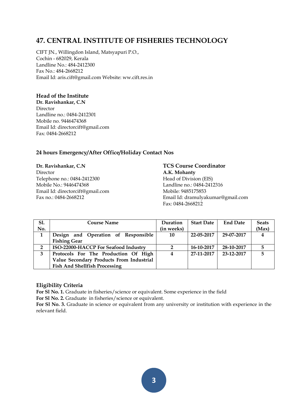#### **47. CENTRAL INSTITUTE OF FISHERIES TECHNOLOGY**

CIFT JN., Willingdon Island, Matsyapuri P.O., Cochin - 682029, Kerala Landline No.: 484-2412300 Fax No.: 484-2668212 Email Id: aris.cift@gmail.com Website: ww.cift.res.in

#### **Head of the Institute**

**Dr. Ravishankar, C.N**  Director Landline no.: 0484-2412301 Mobile no. 9446474368 Email Id: directorcift@gmail.com Fax: 0484-2668212

#### **24 hours Emergency/After Office/Holiday Contact Nos**

**Dr. Ravishankar, C.N TCS Course Coordinator** Director **A.K. Mohanty** Telephone no.: 0484-2412300 Head of Division (EIS) Mobile No.: 9446474368 Landline no.: 0484-2412316 Email Id: directorcift@gmail.com Mobile: 9485175853

Fax no.: 0484-2668212 Email Id: dramulyakumar@gmail.com Fax: 0484-2668212

| <b>S1.</b>     | <b>Course Name</b>                       | Duration   | <b>Start Date</b> | <b>End Date</b> | <b>Seats</b> |
|----------------|------------------------------------------|------------|-------------------|-----------------|--------------|
| No.            |                                          | (in weeks) |                   |                 | (Max)        |
| 1              | Design and Operation of Responsible      | 10         | 22-05-2017        | 29-07-2017      |              |
|                | <b>Fishing Gear</b>                      |            |                   |                 |              |
| $\overline{2}$ | ISO-22000-HACCP For Seafood Industry     |            | 16-10-2017        | 28-10-2017      |              |
| 3              | Protocols For The Production Of High     | 4          | 27-11-2017        | 23-12-2017      |              |
|                | Value Secondary Products From Industrial |            |                   |                 |              |
|                | <b>Fish And Shellfish Processing</b>     |            |                   |                 |              |

#### **Eligibility Criteria**

**For Sl No. 1.** Graduate in fisheries/science or equivalent. Some experience in the field

**For Sl No. 2.** Graduate in fisheries/science or equivalent.

**For Sl No. 3.** Graduate in science or equivalent from any university or institution with experience in the relevant field.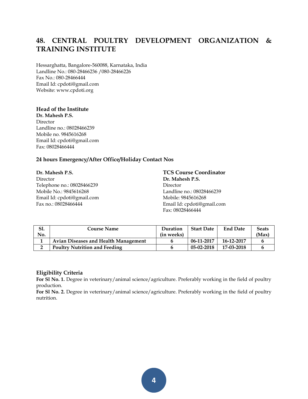## **48. CENTRAL POULTRY DEVELOPMENT ORGANIZATION & TRAINING INSTITUTE**

Hessarghatta, Bangalore-560088, Karnataka, India Landline No.: 080-28466236 /080-28466226 Fax No.: 080-28466444 Email Id: cpdoti@gmail.com Website: www.cpdoti.org

#### **Head of the Institute**

**Dr. Mahesh P.S.**  Director Landline no.: 08028466239 Mobile no. 9845616268 Email Id: cpdoti@gmail.com Fax: 08028466444

#### **24 hours Emergency/After Office/Holiday Contact Nos**

**Dr. Mahesh P.S. TCS Course Coordinator** Director **Dr. Mahesh P.S.** Telephone no.: 08028466239 Director Mobile No.: 9845616268 Landline no.: 08028466239 Email Id: cpdoti@gmail.com Mobile: 9845616268

Fax no.: 08028466444 Email Id: cpdoti@gmail.com Fax: 08028466444

| Sl. | Course Name                                 | Duration   | <b>Start Date</b> | <b>End Date</b> | <b>Seats</b> |
|-----|---------------------------------------------|------------|-------------------|-----------------|--------------|
| No. |                                             | (in weeks) |                   |                 | (Max)        |
|     | <b>Avian Diseases and Health Management</b> |            | 06-11-2017        | 16-12-2017      |              |
|     | <b>Poultry Nutrition and Feeding</b>        |            | $05-02-2018$      | 17-03-2018      |              |

#### **Eligibility Criteria**

**For Sl No. 1.** Degree in veterinary/animal science/agriculture. Preferably working in the field of poultry production.

**For Sl No. 2.** Degree in veterinary/animal science/agriculture. Preferably working in the field of poultry nutrition.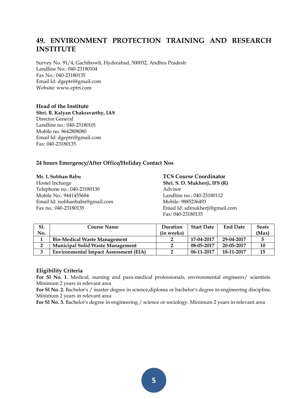## **49. ENVIRONMENT PROTECTION TRAINING AND RESEARCH INSTITUTE**

Survey No. 91/4, Gachibowli, Hyderabad, 500032, Andhra Pradesh Landline No.: 040-23180104 Fax No.: 040-23180135 Email Id: dgeptri@gmail.com Website: www.eptri.com

#### **Head of the Institute**

**Shri. B. Kalyan Chakravarthy, IAS** Director General Landline no.: 040-23180101 Mobile no. 9642808080 Email Id: dgeptri@gmail.com Fax: 040-23180135

#### **24 hours Emergency/After Office/Holiday Contact Nos**

Hostel Incharge **Shri. S. D. Mukherji, IFS (R)** Telephone no.: 040-23180130 Advisor Mobile No.: 9441455684 Landline no.: 040-23180112 Email Id: isobhanbabu@gmail.com Mobile: 9885236493

## **Mr. I. Sobhan Babu TCS Course Coordinator** Fax no.: 040-23180135 Email Id: sdmukherji@gmail.com Fax: 040-23180135

| Sl.    | <b>Course Name</b>                           | Duration   | <b>Start Date</b> | <b>End Date</b> | <b>Seats</b> |
|--------|----------------------------------------------|------------|-------------------|-----------------|--------------|
| No.    |                                              | (in weeks) |                   |                 | (Max)        |
|        | <b>Bio-Medical Waste Management</b>          |            | 17-04-2017        | 29-04-2017      |              |
| ∍<br>∸ | <b>Municipal Solid Waste Management</b>      |            | 08-05-2017        | 20-05-2017      | 10           |
| 3      | <b>Environmental Impact Assessment (EIA)</b> |            | 06-11-2017        | 18-11-2017      |              |

#### **Eligibility Criteria**

For Sl No. 1. Medical, nursing and para-medical professionals, environmental engineers/ scientists. Minimum 2 years in relevant area

**For Sl No. 2.** Bachelor's / master degree in science,diploma or bachelor's degree in engineering discipline. Minimum 2 years in relevant area

**For Sl No. 3.** Bachelor's degree in engineering / science or sociology. Minimum 2 years in relevant area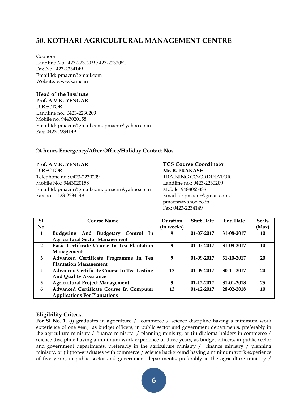#### **50. KOTHARI AGRICULTURAL MANAGEMENT CENTRE**

Coonoor Landline No.: 423-2230209 /423-2232081 Fax No.: 423-2234149 Email Id: pmacnr@gmail.com Website: www.kamc.in

#### **Head of the Institute**

**Prof. A.V.K.IYENGAR** DIRECTOR Landline no.: 0423-2230209 Mobile no. 9443020158 Email Id: pmacnr@gmail.com, pmacnr@yahoo.co.in Fax: 0423-2234149

#### **24 hours Emergency/After Office/Holiday Contact Nos**

**Prof. A.V.K.IYENGAR TCS Course Coordinator** DIRECTOR **Mr. B. PRAKASH**  Telephone no.: 0423-2230209 TRAINING CO-ORDINATOR Mobile No.: 9443020158 Landline no.: 0423-2230209 Email Id: pmacnr@gmail.com, pmacnr@yahoo.co.in Mobile: 9488065888 Fax no.: 0423-2234149 Email Id: pmacnr@gmail.com,

pmacnr@yahoo.co.in Fax: 0423-2234149

| S1.            | <b>Course Name</b>                                | Duration   | <b>Start Date</b> | <b>End Date</b> | <b>Seats</b> |
|----------------|---------------------------------------------------|------------|-------------------|-----------------|--------------|
| No.            |                                                   | (in weeks) |                   |                 | (Max)        |
| 1              | Budgeting And Budgetary Control In                | 9          | $01 - 07 - 2017$  | 31-08-2017      | 10           |
|                | <b>Agricultural Sector Management</b>             |            |                   |                 |              |
| $\overline{2}$ | Basic Certificate Course In Tea Plantation        | 9          | $01 - 07 - 2017$  | 31-08-2017      | 10           |
|                | Management                                        |            |                   |                 |              |
| 3              | Advanced Certificate Programme In Tea             | 9          | $01-09-2017$      | 31-10-2017      | 20           |
|                | <b>Plantation Management</b>                      |            |                   |                 |              |
| 4              | <b>Advanced Certificate Course In Tea Tasting</b> | 13         | 01-09-2017        | 30-11-2017      | 20           |
|                | <b>And Quality Assurance</b>                      |            |                   |                 |              |
| 5              | <b>Agricultural Project Management</b>            | 9          | $01 - 12 - 2017$  | 31-01-2018      | 25           |
| 6              | Advanced Certificate Course In Computer           | 13         | $01 - 12 - 2017$  | 28-02-2018      | 10           |
|                | <b>Applications For Plantations</b>               |            |                   |                 |              |

#### **Eligibility Criteria**

For Sl No. 1. (i) graduates in agriculture / commerce / science discipline having a minimum work experience of one year, as budget officers, in public sector and government departments, preferably in the agriculture ministry / finance ministry / planning ministry, or (ii) diploma holders in commerce / science discipline having a minimum work experience of three years, as budget officers, in public sector and government departments, preferably in the agriculture ministry / finance ministry / planning ministry, or (iii)non-graduates with commerce / science background having a minimum work experience of five years, in public sector and government departments, preferably in the agriculture ministry /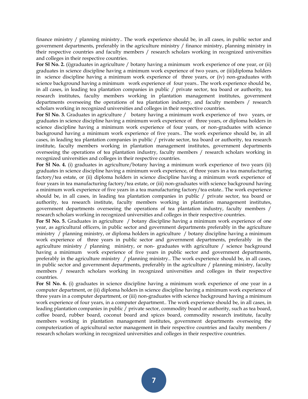finance ministry / planning ministry.. The work experience should be, in all cases, in public sector and government departments, preferably in the agriculture ministry / finance ministry, planning ministry in their respective countries and faculty members / research scholars working in recognized universities and colleges in their respective countries.

**For Sl No. 2.** (i)graduates in agriculture / botany having a minimum work experience of one year, or (ii) graduates in science discipline having a minimum work experience of two years, or (iii)diploma holders in science discipline having a minimum work experience of three years, or (iv) non-graduates with science background having a minimum work experience of four years.. The work experience should be, in all cases, in leading tea plantation companies in public / private sector, tea board or authority, tea research institutes, faculty members working in plantation management institutes, government departments overseeing the operations of tea plantation industry, and faculty members / research scholars working in recognized universities and colleges in their respective countries.

**For Sl No. 3.** Graduates in agriculture / botany having a minimum work experience of two years, or graduates in science discipline having a minimum work experience of three years, or diploma holders in science discipline having a minimum work experience of four years, or non-graduates with science background having a minimum work experience of five years.. The work experience should be, in all cases, in leading tea plantation companies in public / private sector, tea board or authority, tea research institute, faculty members working in plantation management institutes, government departments overseeing the operations of tea plantation industry, faculty members / research scholars working in recognized universities and colleges in their respective countries.

**For Sl No. 4.** (i) graduates in agriculture/botany having a minimum work experience of two years (ii) graduates in science discipline having a minimum work experience, of three years in a tea manufacturing factory/tea estate, or (ii) diploma holders in science discipline having a minimum work experience of four years in tea manufacturing factory/tea estate, or (iii) non-graduates with science background having a minimum work experience of five years in a tea manufacturing factory/tea estate.. The work experience should be, in all cases, in leading tea plantation companies in public / private sector, tea board or authority, tea research institute, faculty members working in plantation management institutes, government departments overseeing the operations of tea plantation industry, faculty members / research scholars working in recognized universities and colleges in their respective countries.

**For Sl No. 5.** Graduates in agriculture / botany discipline having a minimum work experience of one year, as agricultural officers, in public sector and government departments preferably in the agriculture ministry / planning ministry, or diploma holders in agriculture / botany discipline having a minimum work experience of three years in public sector and government departments, preferably in the agriculture ministry / planning ministry, or non- graduates with agriculture / science background having a minimum work experience of five years in public sector and government departments, preferably in the agriculture ministry / planning ministry.. The work experience should be, in all cases, in public sector and government departments, preferably in the agriculture / planning ministry, faculty members / research scholars working in recognized universities and colleges in their respective countries.

**For Sl No. 6.** (i) graduates in science discipline having a minimum work experience of one year in a computer department, or (ii) diploma holders in science discipline having a minimum work experience of three years in a computer department, or (iii) non-graduates with science background having a minimum work experience of four years, in a computer department.. The work experience should be, in all cases, in leading plantation companies in public / private sector, commodity board or authority, such as tea board, coffee board, rubber board, coconut board and spices board, commodity research institute, faculty members working in plantation management institutes, government departments overseeing the computerization of agricultural sector management in their respective countries and faculty members / research scholars working in recognized universities and colleges in their respective countries.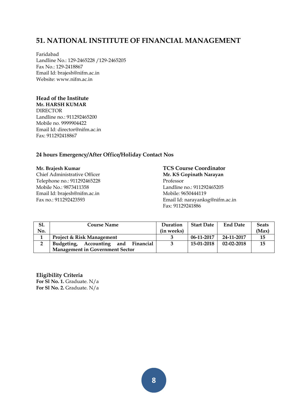#### **51. NATIONAL INSTITUTE OF FINANCIAL MANAGEMENT**

Faridabad Landline No.: 129-2465228 /129-2465205 Fax No.: 129-2418867 Email Id: brajesh@nifm.ac.in Website: www.nifm.ac.in

#### **Head of the Institute**

**Mr. HARSH KUMAR**  DIRECTOR Landline no.: 911292465200 Mobile no. 9999904422 Email Id: director@nifm.ac.in Fax: 911292418867

#### **24 hours Emergency/After Office/Holiday Contact Nos**

Chief Administrative Officer **Mr. KS Gopinath Narayan** Telephone no.: 911292465228 Professor Mobile No.: 9873411358 Landline no.: 911292465205 Email Id: brajesh@nifm.ac.in Mobile: 9650444119

# **Mr. Brajesh Kumar TCS Course Coordinator** Fax no.: 911292423593 Email Id: narayanksg@nifm.ac.in Fax: 91129241886

| Sl.    | <b>Course Name</b>                        | Duration   | <b>Start Date</b> | <b>End Date</b>  | <b>Seats</b> |
|--------|-------------------------------------------|------------|-------------------|------------------|--------------|
| No.    |                                           | (in weeks) |                   |                  | (Max)        |
|        | <b>Project &amp; Risk Management</b>      |            | 06-11-2017        | 24-11-2017       | 15           |
| ົ<br>∽ | Financial<br>Budgeting,<br>Accounting and |            | 15-01-2018        | $02 - 02 - 2018$ | 15           |
|        | <b>Management in Government Sector</b>    |            |                   |                  |              |

**Eligibility Criteria For Sl No. 1.** Graduate. N/a **For Sl No. 2.** Graduate. N/a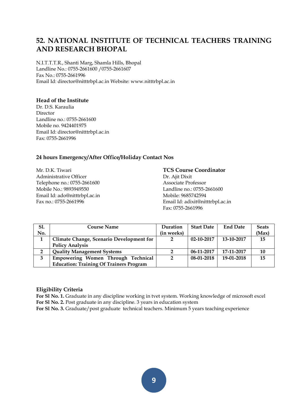#### **52. NATIONAL INSTITUTE OF TECHNICAL TEACHERS TRAINING AND RESEARCH BHOPAL**

N.I.T.T.T.R., Shanti Marg, Shamla Hills, Bhopal Landline No.: 0755-2661600 /0755-2661607 Fax No.: 0755-2661996 Email Id: director@nitttrbpl.ac.in Website: www.nitttrbpl.ac.in

#### **Head of the Institute**

Dr. D.S. Karaulia Director Landline no.: 0755-2661600 Mobile no. 9424401975 Email Id: director@nitttrbpl.ac.in Fax: 0755-2661996

#### **24 hours Emergency/After Office/Holiday Contact Nos**

Administrative Officer Dr. Ajit Dixit Telephone no.: 0755-2661600 Associate Professor Mobile No.: 9893949550 Landline no.: 0755-2661600 Email Id: ado@nitttrbpl.ac.in Mobile: 9685742594

#### Mr. D.K. Tiwari **TCS Course Coordinator**

Fax no.: 0755-2661996 Email Id: adixit@nitttrbpl.ac.in Fax: 0755-2661996

| <b>S1.</b> | <b>Course Name</b>                             | Duration       | <b>Start Date</b> | <b>End Date</b> | <b>Seats</b> |
|------------|------------------------------------------------|----------------|-------------------|-----------------|--------------|
| No.        |                                                | (in weeks)     |                   |                 | (Max)        |
| 1          | Climate Change, Scenario Development for       | 2              | $02 - 10 - 2017$  | 13-10-2017      | 15           |
|            | <b>Policy Analysis</b>                         |                |                   |                 |              |
| 2          | <b>Quality Management Systems</b>              |                | 06-11-2017        | 17-11-2017      | 10           |
| 3          | Empowering Women Through Technical             | $\overline{2}$ | 08-01-2018        | 19-01-2018      | 15           |
|            | <b>Education: Training Of Trainers Program</b> |                |                   |                 |              |

#### **Eligibility Criteria**

**For Sl No. 1.** Graduate in any discipline working in tvet system. Working knowledge of microsoft excel **For Sl No. 2.** Post graduate in any discipline. 3 years in education system

**For Sl No. 3.** Graduate/post graduate technical teachers. Minimum 5 years teaching experience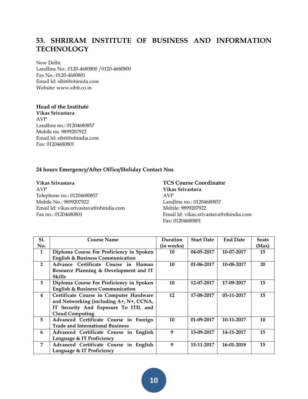## **53. SHRIRAM INSTITUTE OF BUSINESS AND INFORMATION TECHNOLOGY**

New Delhi Landline No.: 0120-4680800 /0120-4680800 Fax No.: 0120-4680801 Email Id: sibit@nhinida.com Website: www.sibit.co.in

#### **Head of the Institute**

**Vikas Srivastava** AVP Landline no.: 01204680857 Mobile no. 9899207922 Email Id: sibit@nhindia.com Fax: 01204680801

#### **24 hours Emergency/After Office/Holiday Contact Nos**

**Vikas Srivastava TCS Course Coordinator** AVP **Vikas Srivastava** Telephone no.: 01204680857 Mobile No.: 9899207922<br>
Email Id: vikas.srivastava@nhindia.com Mobile: 9899207922 Email Id: vikas.srivastava@nhindia.com Fax no.: 01204680801 Email Id: vikas.srivastava@nhindia.com

# Fax: 01204680801

| <b>S1.</b>     | <b>Course Name</b>                          | Duration   | <b>Start Date</b> | <b>End Date</b> | <b>Seats</b> |
|----------------|---------------------------------------------|------------|-------------------|-----------------|--------------|
| No.            |                                             | (in weeks) |                   |                 | (Max)        |
| 1              | Diploma Course For Proficiency in Spoken    | 10         | 04-05-2017        | 10-07-2017      | 15           |
|                | <b>English &amp; Business Communication</b> |            |                   |                 |              |
| $\overline{2}$ | Advance Certificate Course in Human         | 10         | $01 - 06 - 2017$  | 10-08-2017      | 20           |
|                | Resource Planning & Development and IT      |            |                   |                 |              |
|                | <b>Skills</b>                               |            |                   |                 |              |
| 3              | Diploma Course For Proficiency in Spoken    | 10         | 12-07-2017        | 17-09-2017      | 15           |
|                | <b>English &amp; Business Communication</b> |            |                   |                 |              |
| 4              | Certificate Course in Computer Hardware     | 12         | 17-08-2017        | 03-11-2017      | 15           |
|                | and Networking (including A+, N+, CCNA,     |            |                   |                 |              |
|                | IT Security And Exposure To ITIL and        |            |                   |                 |              |
|                | <b>Cloud Computing</b>                      |            |                   |                 |              |
| 5              | Advanced Certificate Course in Foreign      | 10         | 01-09-2017        | 10-11-2017      | 10           |
|                | <b>Trade and International Business</b>     |            |                   |                 |              |
| 6              | Advanced Certificate Course in English      | 9          | 13-09-2017        | 14-11-2017      | 15           |
|                | Language & IT Proficiency                   |            |                   |                 |              |
| 7              | Advanced Certificate Course in English      | 9          | 15-11-2017        | 16-01-2018      | 15           |
|                | Language & IT Proficiency                   |            |                   |                 |              |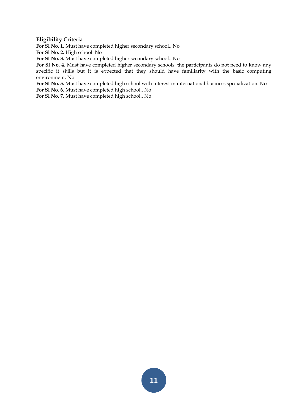#### **Eligibility Criteria**

**For Sl No. 1.** Must have completed higher secondary school.. No

**For Sl No. 2.** High school. No

**For Sl No. 3.** Must have completed higher secondary school.. No

**For Sl No. 4.** Must have completed higher secondary schools. the participants do not need to know any specific it skills but it is expected that they should have familiarity with the basic computing environment. No

**For Sl No. 5.** Must have completed high school with interest in international business specialization. No

**For Sl No. 6.** Must have completed high school.. No

**For Sl No. 7.** Must have completed high school.. No